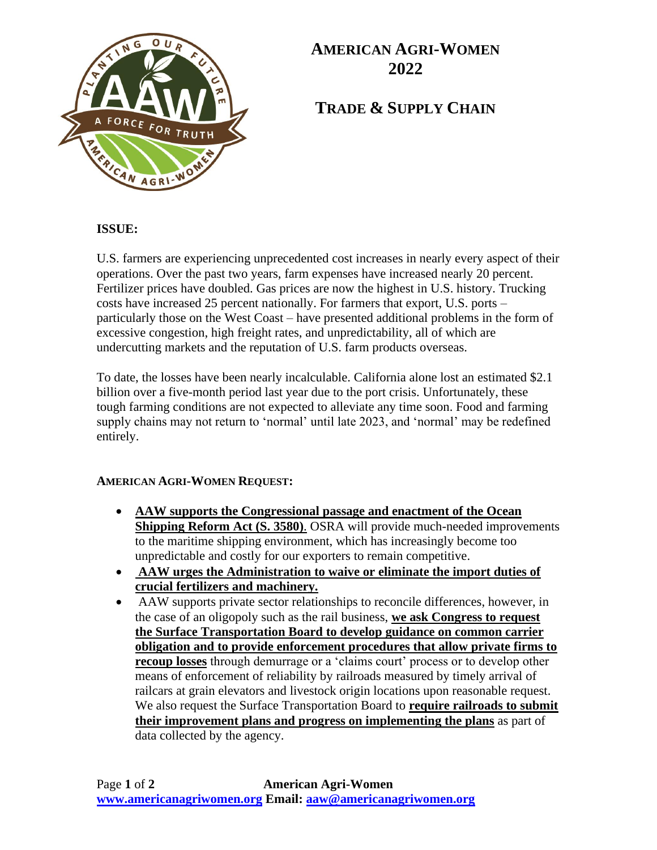

# **AMERICAN AGRI-WOMEN 2022**

**TRADE & SUPPLY CHAIN**

### **ISSUE:**

U.S. farmers are experiencing unprecedented cost increases in nearly every aspect of their operations. Over the past two years, farm expenses have increased nearly 20 percent. Fertilizer prices have doubled. Gas prices are now the highest in U.S. history. Trucking costs have increased 25 percent nationally. For farmers that export, U.S. ports – particularly those on the West Coast – have presented additional problems in the form of excessive congestion, high freight rates, and unpredictability, all of which are undercutting markets and the reputation of U.S. farm products overseas.

To date, the losses have been nearly incalculable. California alone lost an estimated \$2.1 billion over a five-month period last year due to the port crisis. Unfortunately, these tough farming conditions are not expected to alleviate any time soon. Food and farming supply chains may not return to 'normal' until late 2023, and 'normal' may be redefined entirely.

#### **AMERICAN AGRI-WOMEN REQUEST:**

- **AAW supports the Congressional passage and enactment of the Ocean Shipping Reform Act (S. 3580)**. OSRA will provide much-needed improvements to the maritime shipping environment, which has increasingly become too unpredictable and costly for our exporters to remain competitive.
- **AAW urges the Administration to waive or eliminate the import duties of crucial fertilizers and machinery.**
- AAW supports private sector relationships to reconcile differences, however, in the case of an oligopoly such as the rail business, **we ask Congress to request the Surface Transportation Board to develop guidance on common carrier obligation and to provide enforcement procedures that allow private firms to recoup losses** through demurrage or a 'claims court' process or to develop other means of enforcement of reliability by railroads measured by timely arrival of railcars at grain elevators and livestock origin locations upon reasonable request. We also request the Surface Transportation Board to **require railroads to submit their improvement plans and progress on implementing the plans** as part of data collected by the agency.